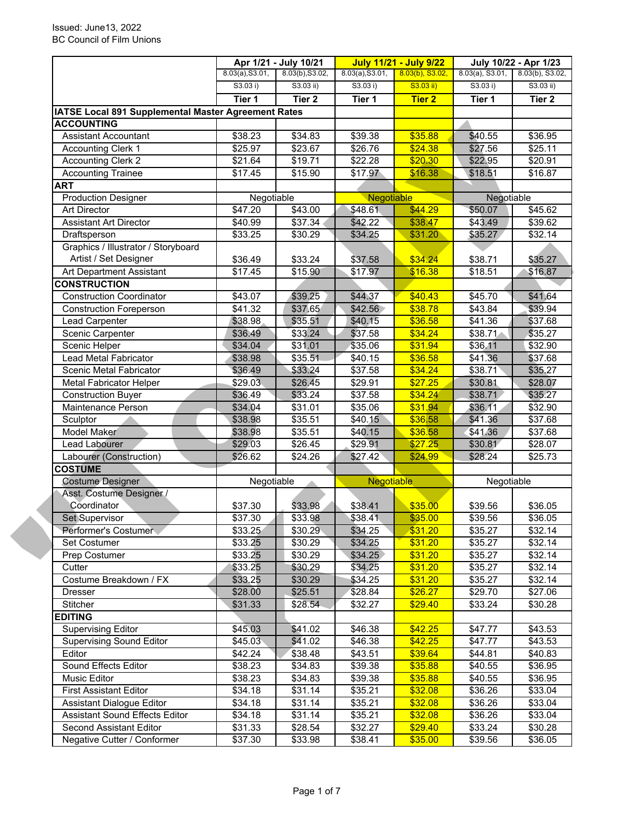|                                                                  | Apr 1/21 - July 10/21 |                     | <b>July 11/21 - July 9/22</b> |                    | July 10/22 - Apr 1/23 |                     |
|------------------------------------------------------------------|-----------------------|---------------------|-------------------------------|--------------------|-----------------------|---------------------|
|                                                                  | 8.03(a), S3.01,       | 8.03(b), S3.02,     | 8.03(a), S3.01,               | $8.03(b)$ , S3.02, | $8.03(a)$ , S3.01,    | 8.03(b), S3.02,     |
|                                                                  | S3.03 i)              | $S3.03$ ii)         | S3.03 i)                      | $S3.03$ ii)        | S3.03 i)              | S3.03 ii)           |
|                                                                  | Tier 1                | Tier <sub>2</sub>   | Tier 1                        | <b>Tier 2</b>      | Tier 1                | Tier <sub>2</sub>   |
| IATSE Local 891 Supplemental Master Agreement Rates              |                       |                     |                               |                    |                       |                     |
| <b>ACCOUNTING</b>                                                |                       |                     |                               |                    |                       |                     |
| <b>Assistant Accountant</b>                                      | \$38.23               | \$34.83             | \$39.38                       | \$35.88            | \$40.55               | \$36.95             |
| <b>Accounting Clerk 1</b>                                        | \$25.97               | \$23.67             | \$26.76                       | \$24.38            | \$27.56               | \$25.11             |
| <b>Accounting Clerk 2</b>                                        | \$21.64               | \$19.71             | \$22.28                       | \$20.30            | \$22.95               | \$20.91             |
| <b>Accounting Trainee</b>                                        | \$17.45               | \$15.90             | \$17.97                       | \$16.38            | \$18.51               | \$16.87             |
| <b>ART</b>                                                       |                       |                     |                               |                    |                       |                     |
| <b>Production Designer</b>                                       | Negotiable            |                     | Negotiable                    |                    | Negotiable            |                     |
| <b>Art Director</b>                                              | \$47.20               | \$43.00             | \$48.61                       | \$44.29            | \$50.07               | \$45.62             |
| <b>Assistant Art Director</b>                                    | \$40.99               | \$37.34             | \$42.22                       | \$38.47            | \$43.49               | \$39.62             |
| Draftsperson                                                     | \$33.25               | \$30.29             | \$34.25                       | \$31.20            | \$35.27               | \$32.14             |
| Graphics / Illustrator / Storyboard                              |                       |                     |                               |                    |                       |                     |
| Artist / Set Designer                                            | \$36.49               | \$33.24             | \$37.58                       | \$34.24            | \$38.71               | \$35.27             |
| Art Department Assistant                                         | \$17.45               | \$15.90             | \$17.97                       | \$16.38            | \$18.51               | \$16.87             |
| <b>CONSTRUCTION</b>                                              |                       |                     |                               |                    |                       |                     |
| <b>Construction Coordinator</b>                                  | \$43.07               | \$39.25             | \$44.37                       | \$40.43            | \$45.70               | \$41.64             |
|                                                                  |                       |                     | \$42.56                       | \$38.78            | \$43.84               | \$39.94             |
| <b>Construction Foreperson</b><br><b>Lead Carpenter</b>          | \$41.32               | \$37.65<br>\$35.51  |                               |                    |                       |                     |
|                                                                  | \$38.98               |                     | \$40.15                       | \$36.58            | \$41.36               | \$37.68             |
| Scenic Carpenter                                                 | \$36.49               | \$33.24             | \$37.58                       | \$34.24            | \$38.71               | \$35.27             |
| Scenic Helper                                                    | \$34.04               | \$31.01             | \$35.06                       | \$31.94            | \$36.11               | $\overline{$}32.90$ |
| Lead Metal Fabricator                                            | \$38.98               | \$35.51             | \$40.15                       | \$36.58            | \$41.36               | \$37.68             |
| Scenic Metal Fabricator                                          | \$36.49               | \$33.24             | \$37.58                       | \$34.24            | \$38.71               | \$35.27             |
| <b>Metal Fabricator Helper</b>                                   | \$29.03               | \$26.45             | \$29.91                       | \$27.25            | \$30.81               | \$28.07             |
| <b>Construction Buyer</b>                                        | \$36.49               | \$33.24             | \$37.58                       | \$34.24            | \$38.71               | \$35.27             |
| Maintenance Person                                               | \$34.04               | \$31.01             | \$35.06                       | \$31.94            | \$36.11               | \$32.90             |
| Sculptor                                                         | \$38.98               | \$35.51             | \$40.15                       | \$36.58            | \$41.36               | \$37.68             |
| Model Maker                                                      | \$38.98               | \$35.51             | \$40.15                       | \$36.58            | \$41.36               | \$37.68             |
| Lead Labourer                                                    | \$29.03               | $\overline{$}26.45$ | \$29.91                       | \$27.25            | \$30.81               | \$28.07             |
| Labourer (Construction)                                          | \$26.62               | \$24.26             | \$27.42                       | \$24.99            | \$28.24               | \$25.73             |
| <b>COSTUME</b>                                                   |                       |                     |                               |                    |                       |                     |
| <b>Costume Designer</b>                                          | Negotiable            |                     | Negotiable                    |                    | Negotiable            |                     |
| Asst. Costume Designer /                                         |                       |                     |                               |                    |                       |                     |
|                                                                  |                       |                     |                               |                    |                       |                     |
| Coordinator                                                      | \$37.30               | \$33.98             | \$38.41                       | \$35.00            | \$39.56               | \$36.05             |
| Set Supervisor                                                   | \$37.30               | \$33.98             | \$38.41                       | \$35.00            | \$39.56               | \$36.05             |
| Performer's Costumer                                             | \$33.25               | \$30.29             | \$34.25                       | \$31.20            | \$35.27               | \$32.14             |
| Set Costumer                                                     | \$33.25               | \$30.29             | \$34.25                       | \$31.20            | \$35.27               | \$32.14             |
| Prep Costumer                                                    | \$33.25               | \$30.29             | \$34.25                       | \$31.20            | \$35.27               | \$32.14             |
| Cutter                                                           | \$33.25               | \$30.29             | \$34.25                       | \$31.20            | \$35.27               | \$32.14             |
| Costume Breakdown / FX                                           | \$33.25               | \$30.29             | \$34.25                       | \$31.20            | \$35.27               | \$32.14             |
| Dresser                                                          | \$28.00               | \$25.51             | \$28.84                       | \$26.27            | \$29.70               | \$27.06             |
| Stitcher                                                         | \$31.33               | \$28.54             |                               | \$29.40            |                       | \$30.28             |
| <b>EDITING</b>                                                   |                       |                     | \$32.27                       |                    | \$33.24               |                     |
|                                                                  |                       |                     |                               |                    |                       |                     |
| <b>Supervising Editor</b>                                        | \$45.03               | \$41.02             | \$46.38                       | \$42.25            | \$47.77               | \$43.53             |
| <b>Supervising Sound Editor</b><br>Editor                        | \$45.03               | \$41.02             | \$46.38                       | \$42.25            | \$47.77               | \$43.53             |
|                                                                  | \$42.24               | \$38.48             | \$43.51                       | \$39.64            | \$44.81               |                     |
| Sound Effects Editor                                             | \$38.23               | \$34.83             | \$39.38                       | \$35.88            | \$40.55               | \$40.83<br>\$36.95  |
| Music Editor                                                     | \$38.23               | \$34.83             | \$39.38                       | \$35.88            | \$40.55               | \$36.95             |
| <b>First Assistant Editor</b>                                    | \$34.18               | \$31.14             | \$35.21                       | \$32.08            | \$36.26               | \$33.04             |
| Assistant Dialogue Editor                                        | \$34.18               | \$31.14             | \$35.21                       | \$32.08            | \$36.26               | \$33.04             |
| <b>Assistant Sound Effects Editor</b><br>Second Assistant Editor | \$34.18<br>\$31.33    | \$31.14<br>\$28.54  | \$35.21<br>\$32.27            | \$32.08<br>\$29.40 | \$36.26<br>\$33.24    | \$33.04<br>\$30.28  |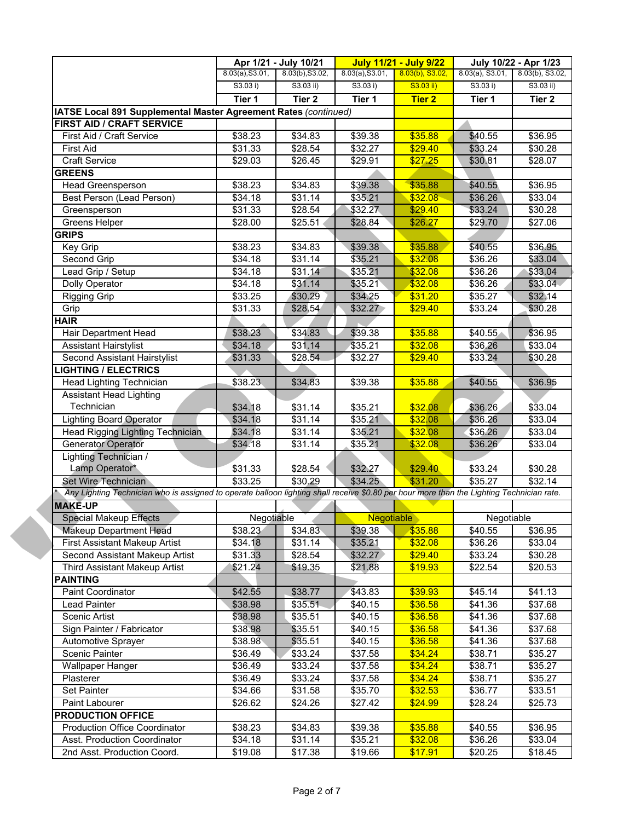|                                                                                                                                           | Apr 1/21 - July 10/21 |                     | <b>July 11/21 - July 9/22</b> |                    | July 10/22 - Apr 1/23 |                     |
|-------------------------------------------------------------------------------------------------------------------------------------------|-----------------------|---------------------|-------------------------------|--------------------|-----------------------|---------------------|
|                                                                                                                                           | 8.03(a), S3.01,       | $8.03(b)$ , S3.02,  | 8.03(a), S3.01,               | $8.03(b)$ , S3.02, | $8.03(a)$ , S3.01,    | 8.03(b), S3.02,     |
|                                                                                                                                           | S3.03 i)              | $S3.03$ ii)         | S3.03 i)                      | S3.03 ii)          | S3.03 i)              | $S3.03$ ii)         |
|                                                                                                                                           | Tier 1                | Tier <sub>2</sub>   | Tier 1                        | <b>Tier 2</b>      | Tier 1                | Tier 2              |
| IATSE Local 891 Supplemental Master Agreement Rates (continued)                                                                           |                       |                     |                               |                    |                       |                     |
| FIRST AID / CRAFT SERVICE                                                                                                                 |                       |                     |                               |                    |                       |                     |
| First Aid / Craft Service                                                                                                                 | \$38.23               | \$34.83             | \$39.38                       | \$35.88            | \$40.55               | \$36.95             |
| <b>First Aid</b>                                                                                                                          | \$31.33               | \$28.54             | \$32.27                       | \$29.40            | \$33.24               | \$30.28             |
| <b>Craft Service</b>                                                                                                                      | \$29.03               | \$26.45             | \$29.91                       | \$27.25            | \$30.81               | \$28.07             |
| <b>GREENS</b>                                                                                                                             |                       |                     |                               |                    |                       |                     |
| Head Greensperson                                                                                                                         | \$38.23               | \$34.83             | \$39.38                       | \$35.88            | \$40.55               | \$36.95             |
| Best Person (Lead Person)                                                                                                                 | \$34.18               | \$31.14             | \$35.21                       | \$32.08            | \$36.26               | \$33.04             |
| Greensperson                                                                                                                              | $\overline{$}31.33$   | \$28.54             | \$32.27                       | \$29.40            | \$33.24               | $\overline{$}30.28$ |
| Greens Helper                                                                                                                             | \$28.00               | \$25.51             | \$28.84                       | \$26.27            | \$29.70               | \$27.06             |
| <b>GRIPS</b>                                                                                                                              |                       |                     |                               |                    |                       |                     |
| Key Grip                                                                                                                                  | \$38.23               | \$34.83             | \$39.38                       | \$35.88            | \$40.55               | \$36.95             |
| Second Grip                                                                                                                               | \$34.18               | \$31.14             | \$35.21                       | \$32.08            | \$36.26               | \$33.04             |
| Lead Grip / Setup                                                                                                                         | $\overline{$}34.18$   | \$31.14             | \$35.21                       | \$32.08            | \$36.26               | \$33.04             |
| Dolly Operator                                                                                                                            | \$34.18               | \$31.14             | \$35.21                       | \$32.08            | \$36.26               | \$33.04             |
| <b>Rigging Grip</b>                                                                                                                       | \$33.25               | \$30.29             | \$34.25                       | \$31.20            | \$35.27               | \$32.14             |
| Grip                                                                                                                                      | \$31.33               | \$28.54             | \$32.27                       | \$29.40            | \$33.24               | \$30.28             |
| <b>HAIR</b>                                                                                                                               |                       |                     |                               |                    |                       |                     |
| Hair Department Head                                                                                                                      | \$38.23               | \$34.83             | \$39.38                       | \$35.88            | \$40.55               | \$36.95             |
| <b>Assistant Hairstylist</b>                                                                                                              | \$34.18               | \$31.14             | \$35.21                       | \$32.08            | \$36.26               | \$33.04             |
| Second Assistant Hairstylist                                                                                                              | \$31.33               | \$28.54             | \$32.27                       | \$29.40            | \$33.24               | \$30.28             |
| <b>LIGHTING / ELECTRICS</b>                                                                                                               |                       |                     |                               |                    |                       |                     |
|                                                                                                                                           | \$38.23               |                     |                               | \$35.88            |                       |                     |
| Head Lighting Technician<br><b>Assistant Head Lighting</b>                                                                                |                       | \$34.83             | \$39.38                       |                    | \$40.55               | \$36.95             |
| Technician                                                                                                                                |                       | \$31.14             | \$35.21                       | \$32.08            | \$36.26               | \$33.04             |
| <b>Lighting Board Operator</b>                                                                                                            | \$34.18<br>\$34.18    | $\overline{$}31.14$ | \$35.21                       | \$32.08            | \$36.26               | \$33.04             |
| Head Rigging Lighting Technician                                                                                                          | \$34.18               | \$31.14             | \$35.21                       | \$32.08            | \$36.26               | \$33.04             |
| Generator Operator                                                                                                                        |                       | \$31.14             | \$35.21                       | \$32.08            | \$36.26               | \$33.04             |
| Lighting Technician /                                                                                                                     | \$34.18               |                     |                               |                    |                       |                     |
| Lamp Operator*                                                                                                                            |                       |                     |                               |                    |                       |                     |
| <b>Set Wire Technician</b>                                                                                                                | \$31.33<br>\$33.25    | \$28.54<br>\$30.29  | \$32.27<br>\$34.25            | \$29.40<br>\$31.20 | \$33.24<br>\$35.27    | \$30.28<br>\$32.14  |
| Any Lighting Technician who is assigned to operate balloon lighting shall receive \$0.80 per hour more than the Lighting Technician rate. |                       |                     |                               |                    |                       |                     |
|                                                                                                                                           |                       |                     |                               |                    |                       |                     |
| <b>MAKE-UP</b>                                                                                                                            |                       |                     |                               |                    | Negotiable            |                     |
| <b>Special Makeup Effects</b>                                                                                                             | Negotiable            |                     | <b>Negotiable</b>             |                    |                       |                     |
| Makeup Department Head                                                                                                                    | \$38.23               | \$34.83             | \$39.38                       | \$35.88            | \$40.55               | \$36.95             |
| First Assistant Makeup Artist                                                                                                             | \$34.18               | \$31.14             | \$35.21                       | \$32.08            | \$36.26               | \$33.04             |
| Second Assistant Makeup Artist                                                                                                            | \$31.33               | \$28.54             | \$32.27                       | \$29.40            | \$33.24               | \$30.28             |
| Third Assistant Makeup Artist                                                                                                             | \$21.24               | \$19.35             | \$21.88                       | \$19.93            | \$22.54               | \$20.53             |
| <b>PAINTING</b>                                                                                                                           |                       |                     |                               |                    |                       |                     |
| Paint Coordinator                                                                                                                         | \$42.55               | \$38.77             | \$43.83                       | \$39.93            | \$45.14               | \$41.13             |
| Lead Painter                                                                                                                              | \$38.98               | \$35.51             | \$40.15                       | \$36.58            | \$41.36               | \$37.68             |
| Scenic Artist                                                                                                                             | \$38.98               | \$35.51             | \$40.15                       | \$36.58            | \$41.36               | \$37.68             |
| Sign Painter / Fabricator                                                                                                                 | \$38.98               | \$35.51             | \$40.15                       | \$36.58            | \$41.36               | \$37.68             |
| Automotive Sprayer                                                                                                                        | \$38.98               | \$35.51             | \$40.15                       | \$36.58            | \$41.36               | \$37.68             |
| <b>Scenic Painter</b>                                                                                                                     | \$36.49               | $\sqrt{33.24}$      | \$37.58                       | \$34.24            | \$38.71               | \$35.27             |
| <b>Wallpaper Hanger</b>                                                                                                                   | \$36.49               | \$33.24             | \$37.58                       | \$34.24            | \$38.71               | \$35.27             |
| Plasterer                                                                                                                                 | \$36.49               | \$33.24             | \$37.58                       | \$34.24            | \$38.71               | \$35.27             |
| Set Painter                                                                                                                               | \$34.66               | \$31.58             | \$35.70                       | \$32.53            | \$36.77               | \$33.51             |
| Paint Labourer                                                                                                                            | \$26.62               | \$24.26             | \$27.42                       | \$24.99            | \$28.24               | \$25.73             |
| <b>PRODUCTION OFFICE</b>                                                                                                                  |                       |                     |                               |                    |                       |                     |
|                                                                                                                                           |                       |                     |                               |                    |                       |                     |
| <b>Production Office Coordinator</b>                                                                                                      | \$38.23               | \$34.83             | \$39.38                       | \$35.88            | \$40.55               |                     |
| Asst. Production Coordinator                                                                                                              | \$34.18               | \$31.14             | \$35.21                       | \$32.08            | \$36.26               | \$36.95<br>\$33.04  |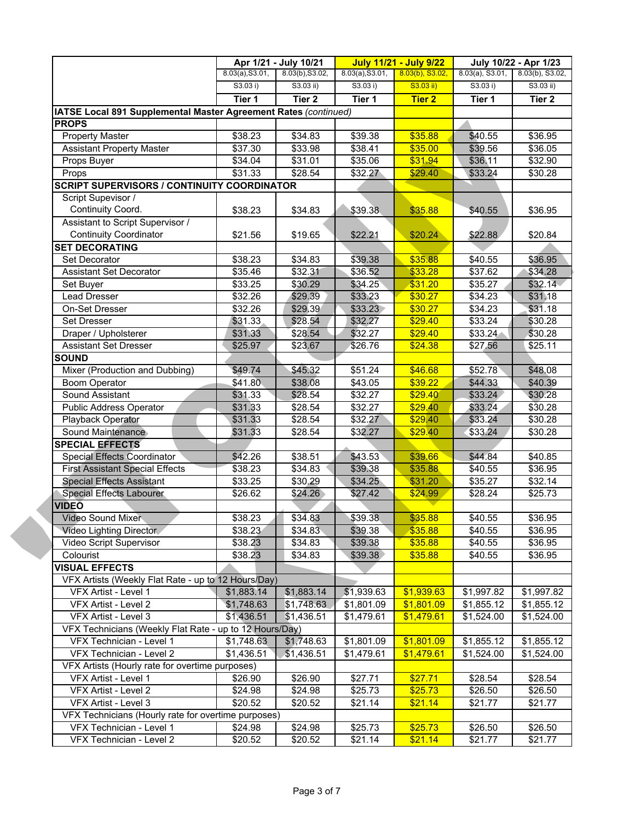|                                                                              | Apr 1/21 - July 10/21 |                   | <b>July 11/21 - July 9/22</b> |                    | July 10/22 - Apr 1/23 |                     |
|------------------------------------------------------------------------------|-----------------------|-------------------|-------------------------------|--------------------|-----------------------|---------------------|
|                                                                              | 8.03(a), S3.01,       | 8.03(b), S3.02,   | 8.03(a), S3.01,               | $8.03(b)$ , S3.02, | $8.03(a)$ , S3.01,    | 8.03(b), S3.02,     |
|                                                                              | S3.03 i)              | $S3.03$ ii)       | S3.03 i)                      | $S3.03$ ii)        | S3.03 i)              | $S3.03$ ii)         |
|                                                                              | Tier 1                | Tier <sub>2</sub> | Tier 1                        | <b>Tier 2</b>      | Tier 1                | Tier 2              |
| IATSE Local 891 Supplemental Master Agreement Rates (continued)              |                       |                   |                               |                    |                       |                     |
| <b>PROPS</b>                                                                 |                       |                   |                               |                    |                       |                     |
| <b>Property Master</b>                                                       | \$38.23               | \$34.83           | \$39.38                       | \$35.88            | \$40.55               | \$36.95             |
| <b>Assistant Property Master</b>                                             | \$37.30               | \$33.98           | \$38.41                       | \$35.00            | \$39.56               | \$36.05             |
| Props Buyer                                                                  | \$34.04               | \$31.01           | \$35.06                       | \$31.94            | \$36.11               | \$32.90             |
| Props                                                                        | \$31.33               | \$28.54           | \$32.27                       | \$29.40            | \$33.24               | \$30.28             |
| <b>SCRIPT SUPERVISORS / CONTINUITY COORDINATOR</b>                           |                       |                   |                               |                    |                       |                     |
| Script Supevisor /                                                           |                       |                   |                               |                    |                       |                     |
| Continuity Coord.                                                            | \$38.23               | \$34.83           | \$39.38                       | \$35.88            | \$40.55               | \$36.95             |
| Assistant to Script Supervisor /                                             |                       |                   |                               |                    |                       |                     |
| <b>Continuity Coordinator</b>                                                | \$21.56               | \$19.65           | \$22.21                       | \$20.24            | \$22.88               | \$20.84             |
| <b>SET DECORATING</b>                                                        |                       |                   |                               |                    |                       |                     |
| Set Decorator                                                                | \$38.23               | \$34.83           | \$39.38                       | \$35.88            | \$40.55               | \$36.95             |
| <b>Assistant Set Decorator</b>                                               | \$35.46               | \$32.31           | \$36.52                       | \$33.28            | $\overline{$37.62}$   | \$34.28             |
| Set Buyer                                                                    | \$33.25               | \$30.29           | \$34.25                       | \$31.20            | \$35.27               | \$32.14             |
| Lead Dresser                                                                 | \$32.26               | \$29.39           | \$33.23                       | \$30.27            | \$34.23               | \$31.18             |
| On-Set Dresser                                                               | \$32.26               | \$29.39           | \$33.23                       | \$30.27            | \$34.23               | \$31.18             |
| <b>Set Dresser</b>                                                           | \$31.33               | \$28.54           | \$32.27                       | \$29.40            | \$33.24               | \$30.28             |
| Draper / Upholsterer                                                         | \$31.33               | \$28.54           | \$32.27                       | \$29.40            | \$33.24               | \$30.28             |
| <b>Assistant Set Dresser</b>                                                 | \$25.97               | \$23.67           | \$26.76                       | \$24.38            | \$27.56               | \$25.11             |
| <b>SOUND</b>                                                                 |                       |                   |                               |                    |                       |                     |
| Mixer (Production and Dubbing)                                               | \$49.74               | \$45.32           | \$51.24                       | \$46.68            | \$52.78               | \$48.08             |
| <b>Boom Operator</b>                                                         | \$41.80               | \$38.08           | \$43.05                       | \$39.22            | \$44.33               | \$40.39             |
| Sound Assistant                                                              | \$31.33               | \$28.54           | \$32.27                       | \$29.40            | \$33.24               | \$30.28             |
| <b>Public Address Operator</b>                                               | \$31.33               | \$28.54           | \$32.27                       | \$29.40            | \$33.24               | \$30.28             |
| Playback Operator                                                            | \$31.33               | \$28.54           | \$32.27                       | \$29.40            | \$33.24               | \$30.28             |
| Sound Maintenance                                                            | \$31.33               | \$28.54           | \$32.27                       | \$29.40            | \$33.24               | \$30.28             |
| <b>SPECIAL EFFECTS</b>                                                       |                       |                   |                               |                    |                       |                     |
| Special Effects Coordinator                                                  | \$42.26               | \$38.51           | \$43.53                       | \$39.66            | \$44.84               | \$40.85             |
| <b>First Assistant Special Effects</b>                                       | \$38.23               | \$34.83           | \$39.38                       | \$35.88            | \$40.55               | $\overline{$}36.95$ |
| <b>Special Effects Assistant</b>                                             | \$33.25               | \$30.29           | \$34.25                       | \$31.20            | \$35.27               | \$32.14             |
|                                                                              |                       |                   |                               |                    |                       |                     |
| Special Effects Labourer<br>VIDEŌ                                            | \$26.62               | \$24.26           | \$27.42                       | \$24.99            | \$28.24               | \$25.73             |
|                                                                              |                       | \$34.83           |                               | \$35.88            |                       |                     |
| Video Sound Mixer<br><b>Video Lighting Director</b>                          | \$38.23               |                   | \$39.38                       | \$35.88            | \$40.55<br>\$40.55    | \$36.95             |
| Video Script Supervisor                                                      | \$38.23               | \$34.83           | \$39.38                       |                    | \$40.55               | \$36.95             |
| Colourist                                                                    | \$38.23               | \$34.83           | \$39.38                       | \$35.88<br>\$35.88 |                       | \$36.95             |
|                                                                              | \$38.23               | \$34.83           | \$39.38                       |                    | \$40.55               | \$36.95             |
| <b>VISUAL EFFECTS</b><br>VFX Artists (Weekly Flat Rate - up to 12 Hours/Day) |                       |                   |                               |                    |                       |                     |
| VFX Artist - Level 1                                                         | \$1,883.14            | \$1,883.14        | \$1,939.63                    | \$1,939.63         | \$1,997.82            | \$1,997.82          |
| VFX Artist - Level 2                                                         | \$1,748.63            |                   |                               |                    | \$1,855.12            |                     |
| VFX Artist - Level 3                                                         | \$1,436.51            | \$1,748.63        | \$1,801.09                    | \$1,801.09         |                       | \$1,855.12          |
|                                                                              |                       | \$1,436.51        | \$1,479.61                    | \$1,479.61         | \$1,524.00            | \$1,524.00          |
| VFX Technicians (Weekly Flat Rate - up to 12 Hours/Day)                      |                       |                   |                               |                    |                       |                     |
| VFX Technician - Level 1                                                     | \$1,748.63            | \$1,748.63        | \$1,801.09                    | \$1,801.09         | \$1,855.12            | \$1,855.12          |
| VFX Technician - Level 2                                                     | \$1,436.51            | \$1,436.51        | \$1,479.61                    | \$1,479.61         | \$1,524.00            | \$1,524.00          |
| VFX Artists (Hourly rate for overtime purposes)                              |                       |                   |                               |                    |                       |                     |
| VFX Artist - Level 1                                                         | \$26.90               | \$26.90           | \$27.71                       | \$27.71            | \$28.54               | $\overline{$}28.54$ |
| VFX Artist - Level 2                                                         | \$24.98               | \$24.98           | \$25.73                       | \$25.73            | \$26.50               | \$26.50             |
| VFX Artist - Level 3                                                         | \$20.52               | \$20.52           | \$21.14                       | \$21.14            | \$21.77               | \$21.77             |
| VFX Technicians (Hourly rate for overtime purposes)                          |                       |                   |                               |                    |                       |                     |
| VFX Technician - Level 1                                                     | \$24.98               | \$24.98           | \$25.73                       | \$25.73            | \$26.50               | \$26.50             |
| VFX Technician - Level 2                                                     | \$20.52               | \$20.52           | \$21.14                       | \$21.14            | \$21.77               | \$21.77             |